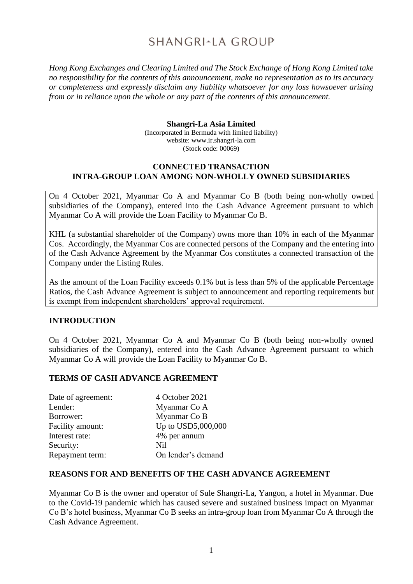# SHANGRI-LA GROUP

*Hong Kong Exchanges and Clearing Limited and The Stock Exchange of Hong Kong Limited take no responsibility for the contents of this announcement, make no representation as to its accuracy or completeness and expressly disclaim any liability whatsoever for any loss howsoever arising from or in reliance upon the whole or any part of the contents of this announcement.*

#### **Shangri-La Asia Limited**

(Incorporated in Bermuda with limited liability) website: www.ir.shangri-la.com (Stock code: 00069)

#### **CONNECTED TRANSACTION INTRA-GROUP LOAN AMONG NON-WHOLLY OWNED SUBSIDIARIES**

On 4 October 2021, Myanmar Co A and Myanmar Co B (both being non-wholly owned subsidiaries of the Company), entered into the Cash Advance Agreement pursuant to which Myanmar Co A will provide the Loan Facility to Myanmar Co B.

KHL (a substantial shareholder of the Company) owns more than 10% in each of the Myanmar Cos. Accordingly, the Myanmar Cos are connected persons of the Company and the entering into of the Cash Advance Agreement by the Myanmar Cos constitutes a connected transaction of the Company under the Listing Rules.

As the amount of the Loan Facility exceeds 0.1% but is less than 5% of the applicable Percentage Ratios, the Cash Advance Agreement is subject to announcement and reporting requirements but is exempt from independent shareholders' approval requirement.

### **INTRODUCTION**

On 4 October 2021, Myanmar Co A and Myanmar Co B (both being non-wholly owned subsidiaries of the Company), entered into the Cash Advance Agreement pursuant to which Myanmar Co A will provide the Loan Facility to Myanmar Co B.

### **TERMS OF CASH ADVANCE AGREEMENT**

| 4 October 2021     |
|--------------------|
| Myanmar Co A       |
| Myanmar Co B       |
| Up to USD5,000,000 |
| 4% per annum       |
| <b>Nil</b>         |
| On lender's demand |
|                    |

### **REASONS FOR AND BENEFITS OF THE CASH ADVANCE AGREEMENT**

Myanmar Co B is the owner and operator of Sule Shangri-La, Yangon, a hotel in Myanmar. Due to the Covid-19 pandemic which has caused severe and sustained business impact on Myanmar Co B's hotel business, Myanmar Co B seeks an intra-group loan from Myanmar Co A through the Cash Advance Agreement.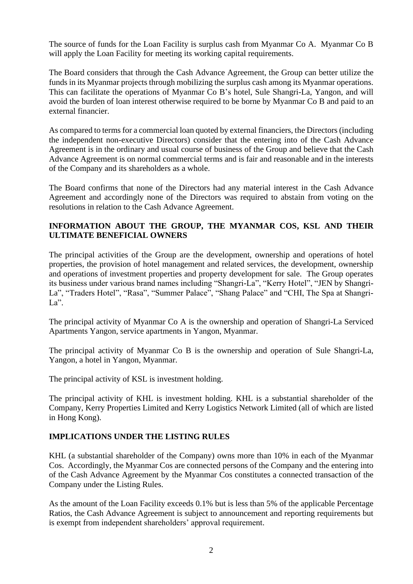The source of funds for the Loan Facility is surplus cash from Myanmar Co A. Myanmar Co B will apply the Loan Facility for meeting its working capital requirements.

The Board considers that through the Cash Advance Agreement, the Group can better utilize the funds in its Myanmar projects through mobilizing the surplus cash among its Myanmar operations. This can facilitate the operations of Myanmar Co B's hotel, Sule Shangri-La, Yangon, and will avoid the burden of loan interest otherwise required to be borne by Myanmar Co B and paid to an external financier.

As compared to terms for a commercial loan quoted by external financiers, the Directors (including the independent non-executive Directors) consider that the entering into of the Cash Advance Agreement is in the ordinary and usual course of business of the Group and believe that the Cash Advance Agreement is on normal commercial terms and is fair and reasonable and in the interests of the Company and its shareholders as a whole.

The Board confirms that none of the Directors had any material interest in the Cash Advance Agreement and accordingly none of the Directors was required to abstain from voting on the resolutions in relation to the Cash Advance Agreement.

## **INFORMATION ABOUT THE GROUP, THE MYANMAR COS, KSL AND THEIR ULTIMATE BENEFICIAL OWNERS**

The principal activities of the Group are the development, ownership and operations of hotel properties, the provision of hotel management and related services, the development, ownership and operations of investment properties and property development for sale. The Group operates its business under various brand names including "Shangri-La", "Kerry Hotel", "JEN by Shangri-La", "Traders Hotel", "Rasa", "Summer Palace", "Shang Palace" and "CHI, The Spa at Shangri-La".

The principal activity of Myanmar Co A is the ownership and operation of Shangri-La Serviced Apartments Yangon, service apartments in Yangon, Myanmar.

The principal activity of Myanmar Co B is the ownership and operation of Sule Shangri-La, Yangon, a hotel in Yangon, Myanmar.

The principal activity of KSL is investment holding.

The principal activity of KHL is investment holding. KHL is a substantial shareholder of the Company, Kerry Properties Limited and Kerry Logistics Network Limited (all of which are listed in Hong Kong).

### **IMPLICATIONS UNDER THE LISTING RULES**

KHL (a substantial shareholder of the Company) owns more than 10% in each of the Myanmar Cos. Accordingly, the Myanmar Cos are connected persons of the Company and the entering into of the Cash Advance Agreement by the Myanmar Cos constitutes a connected transaction of the Company under the Listing Rules.

As the amount of the Loan Facility exceeds 0.1% but is less than 5% of the applicable Percentage Ratios, the Cash Advance Agreement is subject to announcement and reporting requirements but is exempt from independent shareholders' approval requirement.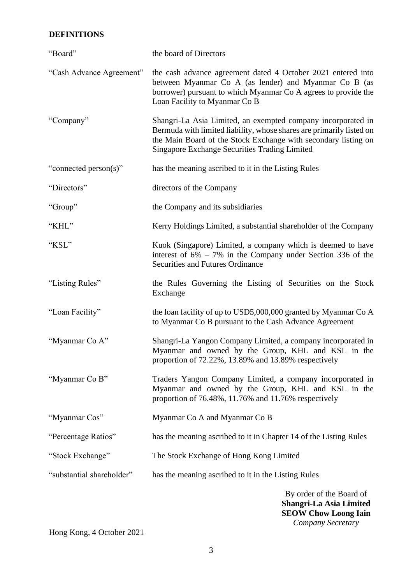# **DEFINITIONS**

| "Board"                   | the board of Directors                                                                                                                                                                                                                                         |
|---------------------------|----------------------------------------------------------------------------------------------------------------------------------------------------------------------------------------------------------------------------------------------------------------|
| "Cash Advance Agreement"  | the cash advance agreement dated 4 October 2021 entered into<br>between Myanmar Co A (as lender) and Myanmar Co B (as<br>borrower) pursuant to which Myanmar Co A agrees to provide the<br>Loan Facility to Myanmar Co B                                       |
| "Company"                 | Shangri-La Asia Limited, an exempted company incorporated in<br>Bermuda with limited liability, whose shares are primarily listed on<br>the Main Board of the Stock Exchange with secondary listing on<br><b>Singapore Exchange Securities Trading Limited</b> |
| "connected person(s)"     | has the meaning ascribed to it in the Listing Rules                                                                                                                                                                                                            |
| "Directors"               | directors of the Company                                                                                                                                                                                                                                       |
| "Group"                   | the Company and its subsidiaries                                                                                                                                                                                                                               |
| "KHL"                     | Kerry Holdings Limited, a substantial shareholder of the Company                                                                                                                                                                                               |
| "KSL"                     | Kuok (Singapore) Limited, a company which is deemed to have<br>interest of $6\% - 7\%$ in the Company under Section 336 of the<br><b>Securities and Futures Ordinance</b>                                                                                      |
| "Listing Rules"           | the Rules Governing the Listing of Securities on the Stock<br>Exchange                                                                                                                                                                                         |
| "Loan Facility"           | the loan facility of up to USD5,000,000 granted by Myanmar Co A<br>to Myanmar Co B pursuant to the Cash Advance Agreement                                                                                                                                      |
| "Myanmar Co A"            | Shangri-La Yangon Company Limited, a company incorporated in<br>Myanmar and owned by the Group, KHL and KSL in the<br>proportion of 72.22%, 13.89% and 13.89% respectively                                                                                     |
| "Myanmar Co B"            | Traders Yangon Company Limited, a company incorporated in<br>Myanmar and owned by the Group, KHL and KSL in the<br>proportion of 76.48%, 11.76% and 11.76% respectively                                                                                        |
| "Myanmar Cos"             | Myanmar Co A and Myanmar Co B                                                                                                                                                                                                                                  |
| "Percentage Ratios"       | has the meaning ascribed to it in Chapter 14 of the Listing Rules                                                                                                                                                                                              |
| "Stock Exchange"          | The Stock Exchange of Hong Kong Limited                                                                                                                                                                                                                        |
| "substantial shareholder" | has the meaning ascribed to it in the Listing Rules                                                                                                                                                                                                            |
|                           | By order of the Board of<br>Shangri-La Asia Limited                                                                                                                                                                                                            |

Hong Kong, 4 October 2021

**SEOW Chow Loong Iain** *Company Secretary*